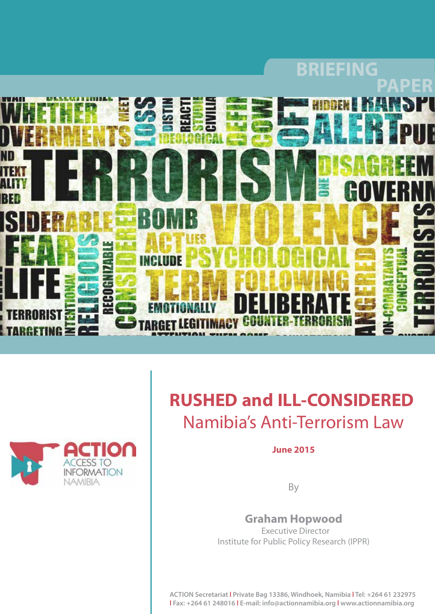



# **RUSHED and ILL-CONSIDERED**  Namibia's Anti-Terrorism Law

### **June 2015**

By

## **Graham Hopwood**

 Executive Director Institute for Public Policy Research (IPPR)

**ACTION Secretariat l Private Bag 13386, Windhoek, Namibia l Tel: +264 61 232975 l Fax: +264 61 248016 l E-mail: info@actionnamibia.org l www.actionnamibia.org**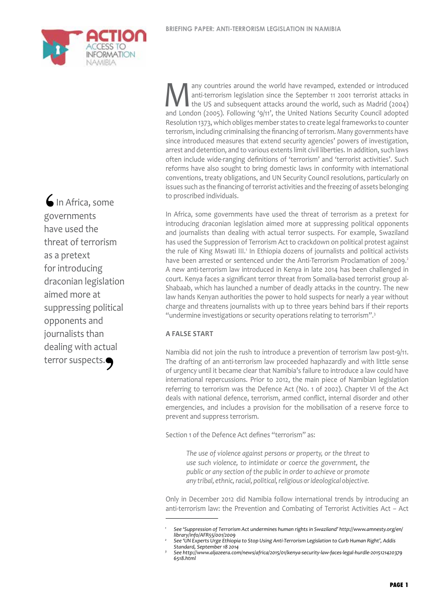Many countries around the world have revamped, extended or introduced<br>anti-terrorism legislation since the September 11 2001 terrorist attacks in<br>the US and subsequent attacks around the world, such as Madrid (2004)<br>and Lo anti-terrorism legislation since the September 11 2001 terrorist attacks in the US and subsequent attacks around the world, such as Madrid (2004) and London (2005). Following '9/11', the United Nations Security Council adopted Resolution 1373, which obliges member states to create legal frameworks to counter terrorism, including criminalising the financing of terrorism. Many governments have since introduced measures that extend security agencies' powers of investigation, arrest and detention, and to various extents limit civil liberties. In addition, such laws often include wide-ranging definitions of 'terrorism' and 'terrorist activities'. Such reforms have also sought to bring domestic laws in conformity with international conventions, treaty obligations, and UN Security Council resolutions, particularly on issues such as the financing of terrorist activities and the freezing of assets belonging to proscribed individuals.

In Africa, some governments have used the threat of terrorism as a pretext for introducing draconian legislation aimed more at suppressing political opponents and journalists than dealing with actual terror suspects. For example, Swaziland has used the Suppression of Terrorism Act to crackdown on political protest against the rule of King Mswati III.<sup>1</sup> In Ethiopia dozens of journalists and political activists have been arrested or sentenced under the Anti-Terrorism Proclamation of 2009.<sup>2</sup> A new anti-terrorism law introduced in Kenya in late 2014 has been challenged in court. Kenya faces a significant terror threat from Somalia-based terrorist group al-Shabaab, which has launched a number of deadly attacks in the country. The new law hands Kenyan authorities the power to hold suspects for nearly a year without charge and threatens journalists with up to three years behind bars if their reports "undermine investigations or security operations relating to terrorism".3

#### **A false start**

Namibia did not join the rush to introduce a prevention of terrorism law post-9/11. The drafting of an anti-terrorism law proceeded haphazardly and with little sense of urgency until it became clear that Namibia's failure to introduce a law could have international repercussions. Prior to 2012, the main piece of Namibian legislation referring to terrorism was the Defence Act (No. 1 of 2002). Chapter VI of the Act deals with national defence, terrorism, armed conflict, internal disorder and other emergencies, and includes a provision for the mobilisation of a reserve force to prevent and suppress terrorism.

Section 1 of the Defence Act defines "terrorism" as:

*The use of violence against persons or property, or the threat to use such violence, to intimidate or coerce the government, the public or any section of the public in order to achieve or promote any tribal, ethnic, racial, political, religious or ideological objective.*

Only in December 2012 did Namibia follow international trends by introducing an anti-terrorism law: the Prevention and Combating of Terrorist Activities Act – Act

In Africa, some governments have used the threat of terrorism as a pretext for introducing draconian legislation aimed more at suppressing political opponents and journalists than dealing with actual terror suspects.<br>
• Suspects<br>
• Suspects<br>
• Suspects<br>
• Suspects<br>
• Suspects<br>
• Suspects<br>
• Suspects<br>
• Suspects<br>
• Suspects<br>
• Suspects<br>
• Suspects<br>
• Suspects<br>
• Suspects<br>
• Suspects<br>
• Suspects<br>
• Suspects<br>
• Suspects<br>  $\bigcup_{\substack{g \text{ov} \\ \text{have the}}}$ 



*<sup>1</sup> See 'Suppression of Terrorism Act undermines human rights in Swaziland' http://www.amnesty.org/en/ library/info/AFR55/001/2009*

*<sup>2</sup> See 'UN Experts Urge Ethiopia to Stop Using Anti-Terrorism Legislation to Curb Human Right', Addis Standard, September 18 2014*

*<sup>3</sup> See http://www.aljazeera.com/news/africa/2015/01/kenya-security-law-faces-legal-hurdle-2015121420379 6518.html*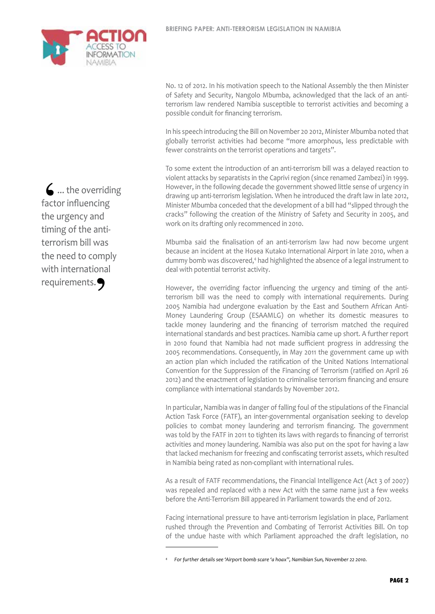

No. 12 of 2012. In his motivation speech to the National Assembly the then Minister of Safety and Security, Nangolo Mbumba, acknowledged that the lack of an antiterrorism law rendered Namibia susceptible to terrorist activities and becoming a possible conduit for financing terrorism.

In his speech introducing the Bill on November 20 2012, Minister Mbumba noted that globally terrorist activities had become "more amorphous, less predictable with fewer constraints on the terrorist operations and targets".

To some extent the introduction of an anti-terrorism bill was a delayed reaction to violent attacks by separatists in the Caprivi region (since renamed Zambezi) in 1999. However, in the following decade the government showed little sense of urgency in drawing up anti-terrorism legislation. When he introduced the draft law in late 2012, Minister Mbumba conceded that the development of a bill had "slipped through the cracks" following the creation of the Ministry of Safety and Security in 2005, and work on its drafting only recommenced in 2010.

Mbumba said the finalisation of an anti-terrorism law had now become urgent because an incident at the Hosea Kutako International Airport in late 2010, when a dummy bomb was discovered,<sup>4</sup> had highlighted the absence of a legal instrument to deal with potential terrorist activity.

However, the overriding factor influencing the urgency and timing of the antiterrorism bill was the need to comply with international requirements. During 2005 Namibia had undergone evaluation by the East and Southern African Anti-Money Laundering Group (ESAAMLG) on whether its domestic measures to tackle money laundering and the financing of terrorism matched the required international standards and best practices. Namibia came up short. A further report in 2010 found that Namibia had not made sufficient progress in addressing the 2005 recommendations. Consequently, in May 2011 the government came up with an action plan which included the ratification of the United Nations International Convention for the Suppression of the Financing of Terrorism (ratified on April 26 2012) and the enactment of legislation to criminalise terrorism financing and ensure compliance with international standards by November 2012.

In particular, Namibia was in danger of falling foul of the stipulations of the Financial Action Task Force (FATF), an inter-governmental organisation seeking to develop policies to combat money laundering and terrorism financing. The government was told by the FATF in 2011 to tighten its laws with regards to financing of terrorist activities and money laundering. Namibia was also put on the spot for having a law that lacked mechanism for freezing and confiscating terrorist assets, which resulted in Namibia being rated as non-compliant with international rules.

As a result of FATF recommendations, the Financial Intelligence Act (Act 3 of 2007) was repealed and replaced with a new Act with the same name just a few weeks before the Anti-Terrorism Bill appeared in Parliament towards the end of 2012.

Facing international pressure to have anti-terrorism legislation in place, Parliament rushed through the Prevention and Combating of Terrorist Activities Bill. On top of the undue haste with which Parliament approached the draft legislation, no

... the overriding factor influencing the urgency and timing of the antiterrorism bill was the need to comply with international requirements.<br>•<br>•  $\begin{matrix} 6 \\ \text{fact} \\ \text{the } \\ \text{time} \end{matrix}$ 

*<sup>4</sup> For further details see 'Airport bomb scare 'a hoax'', Namibian Sun, November 22 2010.*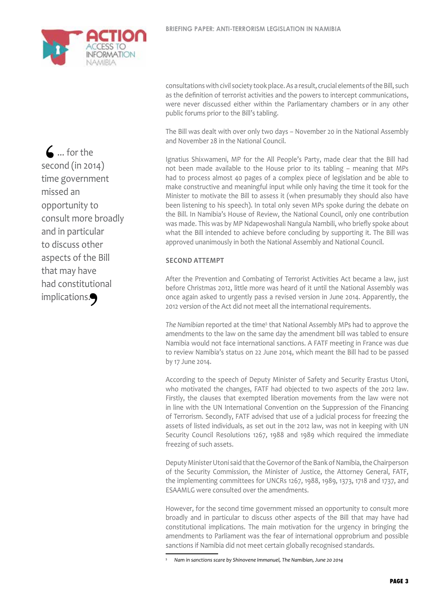

 $\mathbf{\mathsf{L}}$  ... for the second (in 2014) time government missed an opportunity to consult more broadly and in particular to discuss other aspects of the Bill that may have had constitutional implications. S .<br>
seco<br>
time<br>
miss

consultations with civil society took place. As a result, crucial elements of the Bill, such as the definition of terrorist activities and the powers to intercept communications, were never discussed either within the Parliamentary chambers or in any other public forums prior to the Bill's tabling.

The Bill was dealt with over only two days – November 20 in the National Assembly and November 28 in the National Council.

Ignatius Shixwameni, MP for the All People's Party, made clear that the Bill had not been made available to the House prior to its tabling – meaning that MPs had to process almost 40 pages of a complex piece of legislation and be able to make constructive and meaningful input while only having the time it took for the Minister to motivate the Bill to assess it (when presumably they should also have been listening to his speech). In total only seven MPs spoke during the debate on the Bill. In Namibia's House of Review, the National Council, only one contribution was made. This was by MP Ndapewoshali Nangula Nambili, who briefly spoke about what the Bill intended to achieve before concluding by supporting it. The Bill was approved unanimously in both the National Assembly and National Council.

#### **Second attempt**

After the Prevention and Combating of Terrorist Activities Act became a law, just before Christmas 2012, little more was heard of it until the National Assembly was once again asked to urgently pass a revised version in June 2014. Apparently, the 2012 version of the Act did not meet all the international requirements.

The Namibian reported at the time<sup>5</sup> that National Assembly MPs had to approve the amendments to the law on the same day the amendment bill was tabled to ensure Namibia would not face international sanctions. A FATF meeting in France was due to review Namibia's status on 22 June 2014, which meant the Bill had to be passed by 17 June 2014.

According to the speech of Deputy Minister of Safety and Security Erastus Utoni, who motivated the changes, FATF had objected to two aspects of the 2012 law. Firstly, the clauses that exempted liberation movements from the law were not in line with the UN International Convention on the Suppression of the Financing of Terrorism. Secondly, FATF advised that use of a judicial process for freezing the assets of listed individuals, as set out in the 2012 law, was not in keeping with UN Security Council Resolutions 1267, 1988 and 1989 which required the immediate freezing of such assets.

Deputy Minister Utoni said that the Governor of the Bank of Namibia, the Chairperson of the Security Commission, the Minister of Justice, the Attorney General, FATF, the implementing committees for UNCRs 1267, 1988, 1989, 1373, 1718 and 1737, and ESAAMLG were consulted over the amendments.

However, for the second time government missed an opportunity to consult more broadly and in particular to discuss other aspects of the Bill that may have had constitutional implications. The main motivation for the urgency in bringing the amendments to Parliament was the fear of international opprobrium and possible sanctions if Namibia did not meet certain globally recognised standards.

*<sup>5</sup> Nam in sanctions scare by Shinovene Immanuel, The Namibian, June 20 2014*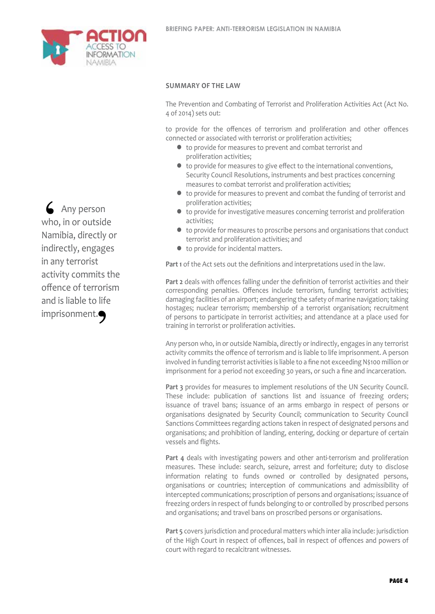

#### **Summary of the law**

The Prevention and Combating of Terrorist and Proliferation Activities Act (Act No. 4 of 2014) sets out:

to provide for the offences of terrorism and proliferation and other offences connected or associated with terrorist or proliferation activities;

- $\bullet$  to provide for measures to prevent and combat terrorist and proliferation activities;
- l to provide for measures to give effect to the international conventions, Security Council Resolutions, instruments and best practices concerning measures to combat terrorist and proliferation activities;
- $\bullet$  to provide for measures to prevent and combat the funding of terrorist and proliferation activities;
- $\bullet$  to provide for investigative measures concerning terrorist and proliferation activities;
- $\bullet$  to provide for measures to proscribe persons and organisations that conduct terrorist and proliferation activities; and
- $\bullet$  to provide for incidental matters.

**Part 1** of the Act sets out the definitions and interpretations used in the law.

**Part 2** deals with offences falling under the definition of terrorist activities and their corresponding penalties. Offences include terrorism, funding terrorist activities; damaging facilities of an airport; endangering the safety of marine navigation; taking hostages; nuclear terrorism; membership of a terrorist organisation; recruitment of persons to participate in terrorist activities; and attendance at a place used for training in terrorist or proliferation activities.

Any person who, in or outside Namibia, directly or indirectly, engages in any terrorist activity commits the offence of terrorism and is liable to life imprisonment. A person involved in funding terrorist activities is liable to a fine not exceeding N\$100 million or imprisonment for a period not exceeding 30 years, or such a fine and incarceration.

Part 3 provides for measures to implement resolutions of the UN Security Council. These include: publication of sanctions list and issuance of freezing orders; issuance of travel bans; issuance of an arms embargo in respect of persons or organisations designated by Security Council; communication to Security Council Sanctions Committees regarding actions taken in respect of designated persons and organisations; and prohibition of landing, entering, docking or departure of certain vessels and flights.

**Part 4** deals with investigating powers and other anti-terrorism and proliferation measures. These include: search, seizure, arrest and forfeiture; duty to disclose information relating to funds owned or controlled by designated persons, organisations or countries; interception of communications and admissibility of intercepted communications; proscription of persons and organisations; issuance of freezing orders in respect of funds belonging to or controlled by proscribed persons and organisations; and travel bans on proscribed persons or organisations.

**Part 5** covers jurisdiction and procedural matters which inter alia include: jurisdiction of the High Court in respect of offences, bail in respect of offences and powers of court with regard to recalcitrant witnesses.

**Any person** who, in or outside Namibia, directly or indirectly, engages in any terrorist activity commits the offence of terrorism and is liable to life imprisonment.<br>
• The Separate Separate Separate Separate Separate Separate Separate Separate Separate Separate Separate Separate Separate Separate Separate Separate Separate Separate Separate Separate Separate Separate Sep  $\begin{array}{c} \bigwedge \ \text{who} \\ \text{Nam} \end{array}$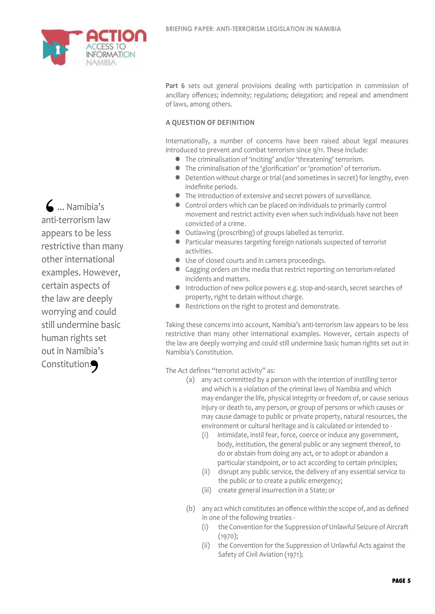

Part 6 sets out general provisions dealing with participation in commission of ancillary offences; indemnity; regulations; delegation; and repeal and amendment of laws, among others.

#### **A question of definition**

Internationally, a number of concerns have been raised about legal measures introduced to prevent and combat terrorism since 9/11. These include:

- l The criminalisation of 'inciting' and/or 'threatening' terrorism.
- l The criminalisation of the 'glorification' or 'promotion' of terrorism.
- Detention without charge or trial (and sometimes in secret) for lengthy, even indefinite periods.
- l The introduction of extensive and secret powers of surveillance.
- Control orders which can be placed on individuals to primarily control movement and restrict activity even when such individuals have not been convicted of a crime.
- l Outlawing (proscribing) of groups labelled as terrorist.
- l Particular measures targeting foreign nationals suspected of terrorist activities.
- Use of closed courts and in camera proceedings.
- l Gagging orders on the media that restrict reporting on terrorism-related incidents and matters.
- **Introduction of new police powers e.g. stop-and-search, secret searches of** property, right to detain without charge.
- **•** Restrictions on the right to protest and demonstrate.

Taking these concerns into account, Namibia's anti-terrorism law appears to be less restrictive than many other international examples. However, certain aspects of the law are deeply worrying and could still undermine basic human rights set out in Namibia's Constitution.

The Act defines "terrorist activity" as:

- (a) any act committed by a person with the intention of instilling terror and which is a violation of the criminal laws of Namibia and which may endanger the life, physical integrity or freedom of, or cause serious injury or death to, any person, or group of persons or which causes or may cause damage to public or private property, natural resources, the environment or cultural heritage and is calculated or intended to -
	- (i) intimidate, instil fear, force, coerce or induce any government, body, institution, the general public or any segment thereof, to do or abstain from doing any act, or to adopt or abandon a particular standpoint, or to act according to certain principles;
	- (ii) disrupt any public service, the delivery of any essential service to the public or to create a public emergency;
	- (iii) create general insurrection in a State; or
- (b) any act which constitutes an offence within the scope of, and as defined in one of the following treaties -
	- (i) the Convention for the Suppression of Unlawful Seizure of Aircraft (1970);
	- (ii) the Convention for the Suppression of Unlawful Acts against the Safety of Civil Aviation (1971);

 ... Namibia's anti-terrorism law appears to be less restrictive than many other international examples. However, certain aspects of the law are deeply worrying and could still undermine basic human rights set out in Namibia's Constitution.<br>
•<br>
•  $\begin{array}{c} \begin{array}{c} \bullet \\ \bullet \\ \text{anti-} \\ \text{app}\end{array} \end{array}$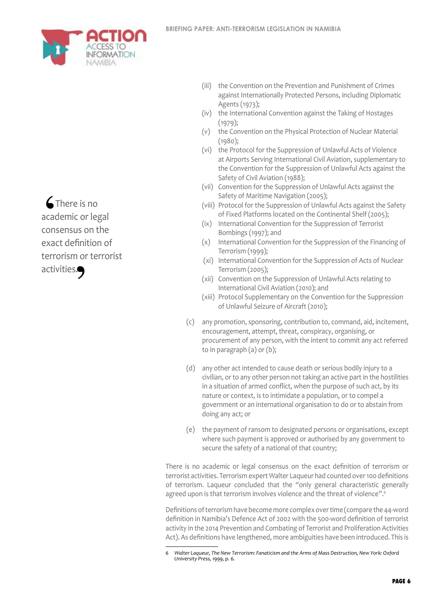

*C* There is no academic or legal consensus on the exact definition of terrorism or terrorist activities.  $\begin{array}{c} \big\uparrow \ \text{a} \text{c} \text{d} \end{array}$  $\mathbf{S}$ .

- (iii) the Convention on the Prevention and Punishment of Crimes against Internationally Protected Persons, including Diplomatic Agents (1973);
- (iv) the International Convention against the Taking of Hostages (1979);
- (v) the Convention on the Physical Protection of Nuclear Material (1980);
- (vi) the Protocol for the Suppression of Unlawful Acts of Violence at Airports Serving International Civil Aviation, supplementary to the Convention for the Suppression of Unlawful Acts against the Safety of Civil Aviation (1988);
- (vii) Convention for the Suppression of Unlawful Acts against the Safety of Maritime Navigation (2005);
- (viii) Protocol for the Suppression of Unlawful Acts against the Safety of Fixed Platforms located on the Continental Shelf (2005);
- (ix) International Convention for the Suppression of Terrorist Bombings (1997); and
- (x) International Convention for the Suppression of the Financing of Terrorism (1999);
- (xi) International Convention for the Suppression of Acts of Nuclear Terrorism (2005);
- (xii) Convention on the Suppression of Unlawful Acts relating to International Civil Aviation (2010); and
- (xiii) Protocol Supplementary on the Convention for the Suppression of Unlawful Seizure of Aircraft (2010);
- (c) any promotion, sponsoring, contribution to, command, aid, incitement, encouragement, attempt, threat, conspiracy, organising, or procurement of any person, with the intent to commit any act referred to in paragraph (a) or (b);
- (d) any other act intended to cause death or serious bodily injury to a civilian, or to any other person not taking an active part in the hostilities in a situation of armed conflict, when the purpose of such act, by its nature or context, is to intimidate a population, or to compel a government or an international organisation to do or to abstain from doing any act; or
- (e) the payment of ransom to designated persons or organisations, except where such payment is approved or authorised by any government to secure the safety of a national of that country;

There is no academic or legal consensus on the exact definition of terrorism or terrorist activities. Terrorism expert Walter Laqueur had counted over 100 definitions of terrorism. Laqueur concluded that the "only general characteristic generally agreed upon is that terrorism involves violence and the threat of violence".<sup>6</sup>

Definitions of terrorism have become more complex over time (compare the 44-word definition in Namibia's Defence Act of 2002 with the 500-word definition of terrorist activity in the 2014 Prevention and Combating of Terrorist and Proliferation Activities Act). As definitions have lengthened, more ambiguities have been introduced. This is

*<sup>6</sup> Walter Laqueur, The New Terrorism: Fanaticism and the Arms of Mass Destruction, New York: Oxford University Press, 1999, p. 6.*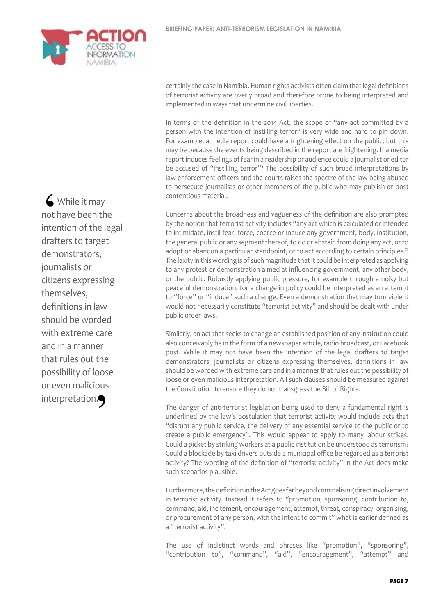

While it may not have been the intention of the legal drafters to target demonstrators, journalists or citizens expressing themselves, definitions in law should be worded with extreme care and in a manner that rules out the possibility of loose or even malicious interpretation.<br>
• The Separation of the Separation of the Separation of the Separation of the Separation of the Separation of the Separation of the Separation of the Separation of the Separation of the Separation of the S  $\left( \begin{array}{c} 1 \\ 1 \\ 2 \end{array} \right)$  inter

certainly the case in Namibia. Human rights activists often claim that legal definitions of terrorist activity are overly broad and therefore prone to being interpreted and implemented in ways that undermine civil liberties.

In terms of the definition in the 2014 Act, the scope of "any act committed by a person with the intention of instilling terror" is very wide and hard to pin down. For example, a media report could have a frightening effect on the public, but this may be because the events being described in the report are frightening. If a media report induces feelings of fear in a readership or audience could a journalist or editor be accused of "instilling terror"? The possibility of such broad interpretations by law enforcement officers and the courts raises the spectre of the law being abused to persecute journalists or other members of the public who may publish or post contentious material.

Concerns about the broadness and vagueness of the definition are also prompted by the notion that terrorist activity includes "any act which is calculated or intended to intimidate, instil fear, force, coerce or induce any government, body, institution, the general public or any segment thereof, to do or abstain from doing any act, or to adopt or abandon a particular standpoint, or to act according to certain principles." The laxity in this wording is of such magnitude that it could be interpreted as applying to any protest or demonstration aimed at influencing government, any other body, or the public. Robustly applying public pressure, for example through a noisy but peaceful demonstration, for a change in policy could be interpreted as an attempt to "force" or "induce" such a change. Even a demonstration that may turn violent would not necessarily constitute "terrorist activity" and should be dealt with under public order laws.

Similarly, an act that seeks to change an established position of any institution could also conceivably be in the form of a newspaper article, radio broadcast, or Facebook post. While it may not have been the intention of the legal drafters to target demonstrators, journalists or citizens expressing themselves, definitions in law should be worded with extreme care and in a manner that rules out the possibility of loose or even malicious interpretation. All such clauses should be measured against the Constitution to ensure they do not transgress the Bill of Rights.

The danger of anti-terrorist legislation being used to deny a fundamental right is underlined by the law's postulation that terrorist activity would include acts that "disrupt any public service, the delivery of any essential service to the public or to create a public emergency". This would appear to apply to many labour strikes. Could a picket by striking workers at a public institution be understood as terrorism? Could a blockade by taxi drivers outside a municipal office be regarded as a terrorist activity? The wording of the definition of "terrorist activity" in the Act does make such scenarios plausible.

Furthermore, the definition in the Act goes far beyond criminalising direct involvement in terrorist activity. Instead it refers to "promotion, sponsoring, contribution to, command, aid, incitement, encouragement, attempt, threat, conspiracy, organising, or procurement of any person, with the intent to commit" what is earlier defined as a "terrorist activity".

The use of indistinct words and phrases like "promotion", "sponsoring", "contribution to", "command", "aid", "encouragement", "attempt" and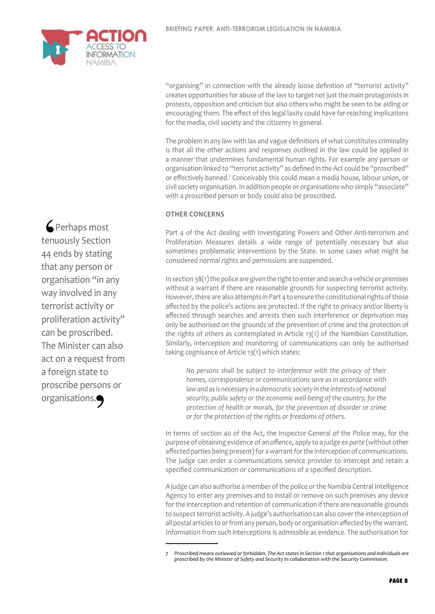

**Perhaps most** tenuously Section 44 ends by stating that any person or organisation "in any way involved in any terrorist activity or proliferation activity" can be proscribed. The Minister can also act on a request from a foreign state to proscribe persons or organisations.<br>
• The Second Second Second Second Second Second Second Second Second Second Second Second Second Second Second Second Second Second Second Second Second Second Second Second Second Second Second Second Seco  $\epsilon$ F<br>tenu<br>44 e

"organising" in connection with the already loose definition of "terrorist activity" creates opportunities for abuse of the law to target not just the main protagonists in protests, opposition and criticism but also others who might be seen to be aiding or encouraging them. The effect of this legal laxity could have far-reaching implications for the media, civil society and the citizenry in general.

The problem in any law with lax and vague definitions of what constitutes criminality is that all the other actions and responses outlined in the law could be applied in a manner that undermines fundamental human rights. For example any person or organisation linked to "terrorist activity" as defined in the Act could be "proscribed" or effectively banned.<sup>7</sup> Conceivably this could mean a media house, labour union, or civil society organisation. In addition people or organisations who simply "associate" with a proscribed person or body could also be proscribed.

#### **Other concerns**

Part 4 of the Act dealing with Investigating Powers and Other Anti-terrorism and Proliferation Measures details a wide range of potentially necessary but also sometimes problematic interventions by the State. In some cases what might be considered normal rights and permissions are suspended.

In section 38(1) the police are given the right to enter and search a vehicle or premises without a warrant if there are reasonable grounds for suspecting terrorist activity. However, there are also attempts in Part 4 to ensure the constitutional rights of those affected by the police's actions are protected. If the right to privacy and/or liberty is affected through searches and arrests then such interference or deprivation may only be authorised on the grounds of the prevention of crime and the protection of the rights of others as contemplated in Article 13(1) of the Namibian Constitution. Similarly, interception and monitoring of communications can only be authorised taking cognisance of Article 13(1) which states:

*No persons shall be subject to interference with the privacy of their homes, correspondence or communications save as in accordance with*  law and as is necessary in a democratic society in the interests of national *security, public safety or the economic well-being of the country, for the protection of health or morals, for the prevention of disorder or crime or for the protection of the rights or freedoms of others.*

In terms of section 40 of the Act, the Inspector-General of the Police may, for the purpose of obtaining evidence of an offence, apply to a judge *ex parte* (without other affected parties being present) for a warrant for the interception of communications. The judge can order a communications service provider to intercept and retain a specified communication or communications of a specified description.

A judge can also authorise a member of the police or the Namibia Central Intelligence Agency to enter any premises and to install or remove on such premises any device for the interception and retention of communication if there are reasonable grounds to suspect terrorist activity. A judge's authorisation can also cover the interception of all postal articles to or from any person, body or organisation affected by the warrant. Information from such interceptions is admissible as evidence. The authorisation for

*<sup>7</sup> Proscribed means outlawed or forbidden. The Act states in Section 1 that organisations and individuals are proscribed by the Minister of Safety and Security in collaboration with the Security Commission.*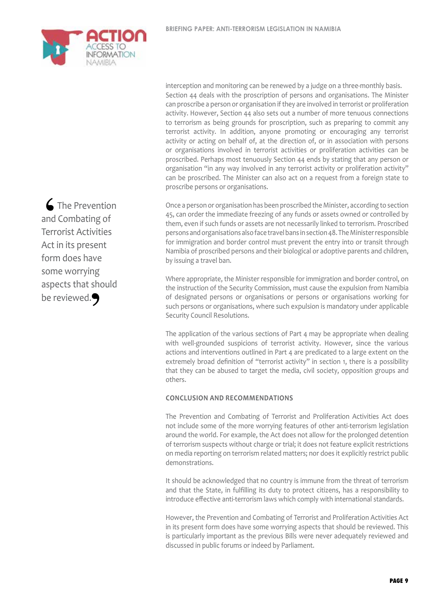

**S** The Prevention and Combating of Terrorist Activities Act in its present form does have some worrying aspects that should be reviewed.  $\begin{array}{c} \mathbf{C} \\ \mathbf{C} \\ \mathbf{C} \\ \mathbf{C} \\ \mathbf{C} \\ \mathbf{C} \\ \mathbf{C} \\ \mathbf{C} \\ \mathbf{D} \\ \mathbf{D} \\ \mathbf{D} \\ \mathbf{D} \\ \mathbf{D} \\ \mathbf{D} \\ \mathbf{D} \\ \mathbf{D} \\ \mathbf{D} \\ \mathbf{D} \\ \mathbf{D} \\ \mathbf{D} \\ \mathbf{D} \\ \mathbf{D} \\ \mathbf{D} \\ \mathbf{D} \\ \mathbf{D} \\ \mathbf{D} \\ \mathbf{D} \\ \mathbf{D} \\ \mathbf{D} \\ \mathbf{D} \\ \mathbf$ 

interception and monitoring can be renewed by a judge on a three-monthly basis. Section 44 deals with the proscription of persons and organisations. The Minister can proscribe a person or organisation if they are involved in terrorist or proliferation activity. However, Section 44 also sets out a number of more tenuous connections to terrorism as being grounds for proscription, such as preparing to commit any terrorist activity. In addition, anyone promoting or encouraging any terrorist activity or acting on behalf of, at the direction of, or in association with persons or organisations involved in terrorist activities or proliferation activities can be proscribed. Perhaps most tenuously Section 44 ends by stating that any person or organisation "in any way involved in any terrorist activity or proliferation activity" can be proscribed. The Minister can also act on a request from a foreign state to proscribe persons or organisations.

Once a person or organisation has been proscribed the Minister, according to section 45, can order the immediate freezing of any funds or assets owned or controlled by them, even if such funds or assets are not necessarily linked to terrorism. Proscribed persons and organisations also face travel bans in section 48. The Minister responsible for immigration and border control must prevent the entry into or transit through Namibia of proscribed persons and their biological or adoptive parents and children, by issuing a travel ban.

Where appropriate, the Minister responsible for immigration and border control, on the instruction of the Security Commission, must cause the expulsion from Namibia of designated persons or organisations or persons or organisations working for such persons or organisations, where such expulsion is mandatory under applicable Security Council Resolutions.

The application of the various sections of Part 4 may be appropriate when dealing with well-grounded suspicions of terrorist activity. However, since the various actions and interventions outlined in Part 4 are predicated to a large extent on the extremely broad definition of "terrorist activity" in section 1, there is a possibility that they can be abused to target the media, civil society, opposition groups and others.

#### **Conclusion and recommendations**

The Prevention and Combating of Terrorist and Proliferation Activities Act does not include some of the more worrying features of other anti-terrorism legislation around the world. For example, the Act does not allow for the prolonged detention of terrorism suspects without charge or trial; it does not feature explicit restrictions on media reporting on terrorism related matters; nor does it explicitly restrict public demonstrations.

It should be acknowledged that no country is immune from the threat of terrorism and that the State, in fulfilling its duty to protect citizens, has a responsibility to introduce effective anti-terrorism laws which comply with international standards.

However, the Prevention and Combating of Terrorist and Proliferation Activities Act in its present form does have some worrying aspects that should be reviewed. This is particularly important as the previous Bills were never adequately reviewed and discussed in public forums or indeed by Parliament.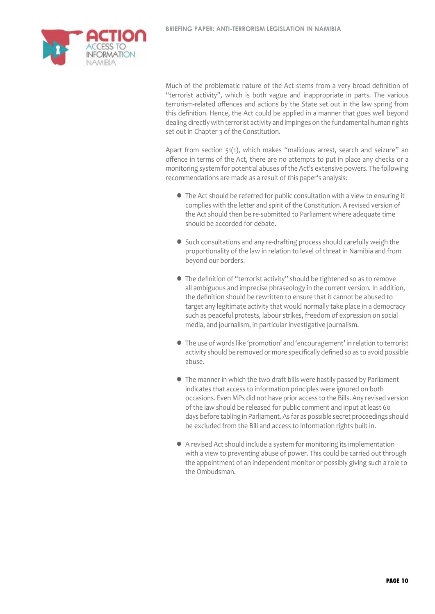

Much of the problematic nature of the Act stems from a very broad definition of "terrorist activity", which is both vague and inappropriate in parts. The various terrorism-related offences and actions by the State set out in the law spring from this definition. Hence, the Act could be applied in a manner that goes well beyond dealing directly with terrorist activity and impinges on the fundamental human rights set out in Chapter 3 of the Constitution.

Apart from section 51(1), which makes "malicious arrest, search and seizure" an offence in terms of the Act, there are no attempts to put in place any checks or a monitoring system for potential abuses of the Act's extensive powers. The following recommendations are made as a result of this paper's analysis:

- The Act should be referred for public consultation with a view to ensuring it complies with the letter and spirit of the Constitution. A revised version of the Act should then be re-submitted to Parliament where adequate time should be accorded for debate.
- **•** Such consultations and any re-drafting process should carefully weigh the proportionality of the law in relation to level of threat in Namibia and from beyond our borders.
- The definition of "terrorist activity" should be tightened so as to remove all ambiguous and imprecise phraseology in the current version. In addition, the definition should be rewritten to ensure that it cannot be abused to target any legitimate activity that would normally take place in a democracy such as peaceful protests, labour strikes, freedom of expression on social media, and journalism, in particular investigative journalism.
- l The use of words like 'promotion' and 'encouragement' in relation to terrorist activity should be removed or more specifically defined so as to avoid possible abuse.
- **The manner in which the two draft bills were hastily passed by Parliament**  indicates that access to information principles were ignored on both occasions. Even MPs did not have prior access to the Bills. Any revised version of the law should be released for public comment and input at least 60 days before tabling in Parliament. As far as possible secret proceedings should be excluded from the Bill and access to information rights built in.
- A revised Act should include a system for monitoring its implementation with a view to preventing abuse of power. This could be carried out through the appointment of an independent monitor or possibly giving such a role to the Ombudsman.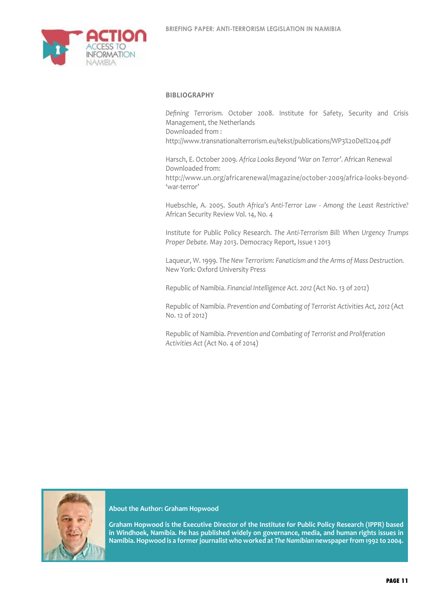

#### **Bibliography**

*Defining Terrorism.* October 2008. Institute for Safety, Security and Crisis Management, the Netherlands Downloaded from : http://www.transnationalterrorism.eu/tekst/publications/WP3%20Del%204.pdf

Harsch, E. October 2009. *Africa Looks Beyond 'War on Terror'*. African Renewal Downloaded from: http://www.un.org/africarenewal/magazine/october-2009/africa-looks-beyond- 'war-terror'

Huebschle, A. 2005. *South Africa's Anti-Terror Law - Among the Least Restrictive?*  African Security Review Vol. 14, No. 4

Institute for Public Policy Research. *The Anti-Terrorism Bill: When Urgency Trumps Proper Debate.* May 2013. Democracy Report, Issue 1 2013

Laqueur, W. 1999. *The New Terrorism: Fanaticism and the Arms of Mass Destruction.* New York: Oxford University Press

Republic of Namibia. *Financial Intelligence Act. 2012* (Act No. 13 of 2012)

Republic of Namibia. *Prevention and Combating of Terrorist Activities Act, 2012* (Act No. 12 of 2012)

Republic of Namibia. *Prevention and Combating of Terrorist and Proliferation Activities Act* (Act No. 4 of 2014)



**About the Author: Graham Hopwood**

**Graham Hopwood is the Executive Director of the Institute for Public Policy Research (IPPR) based in Windhoek, Namibia. He has published widely on governance, media, and human rights issues in Namibia. Hopwood is a former journalist who worked at** *The Namibian* **newspaper from 1992 to 2004.**